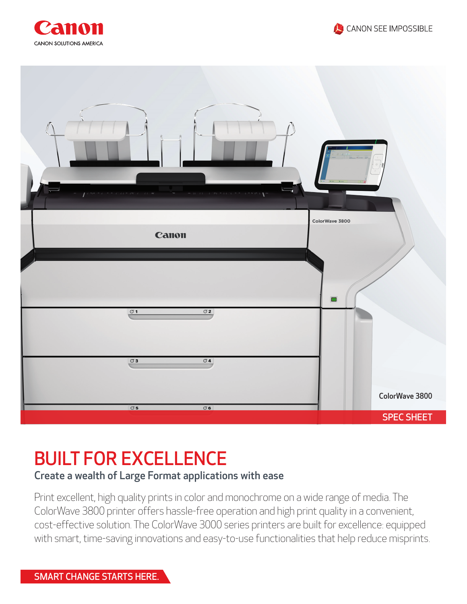





## BUILT FOR EXCELLENCE

## Create a wealth of Large Format applications with ease

Print excellent, high quality prints in color and monochrome on a wide range of media. The ColorWave 3800 printer offers hassle-free operation and high print quality in a convenient, cost-effective solution. The ColorWave 3000 series printers are built for excellence: equipped with smart, time-saving innovations and easy-to-use functionalities that help reduce misprints.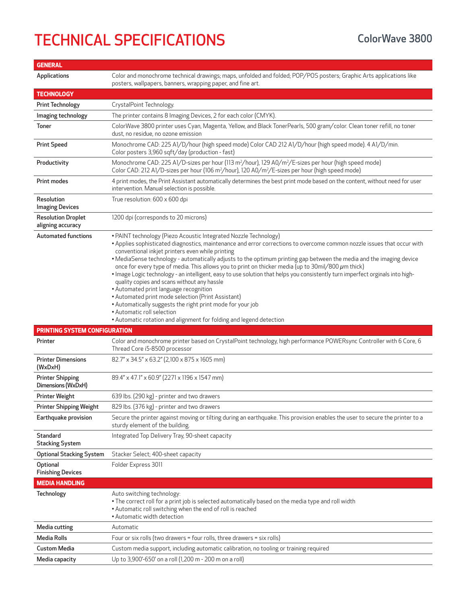## TECHNICAL SPECIFICATIONS ColorWave 3800

| <b>GENERAL</b>                                 |                                                                                                                                                                                                                                                                                                                                                                                                                                                                                                                                                                                                                                                                                                                                                                                                                                                                                                                                           |
|------------------------------------------------|-------------------------------------------------------------------------------------------------------------------------------------------------------------------------------------------------------------------------------------------------------------------------------------------------------------------------------------------------------------------------------------------------------------------------------------------------------------------------------------------------------------------------------------------------------------------------------------------------------------------------------------------------------------------------------------------------------------------------------------------------------------------------------------------------------------------------------------------------------------------------------------------------------------------------------------------|
| <b>Applications</b>                            | Color and monochrome technical drawings; maps, unfolded and folded; POP/POS posters; Graphic Arts applications like<br>posters, wallpapers, banners, wrapping paper, and fine art.                                                                                                                                                                                                                                                                                                                                                                                                                                                                                                                                                                                                                                                                                                                                                        |
| <b>TECHNOLOGY</b>                              |                                                                                                                                                                                                                                                                                                                                                                                                                                                                                                                                                                                                                                                                                                                                                                                                                                                                                                                                           |
| <b>Print Technology</b>                        | CrystalPoint Technology.                                                                                                                                                                                                                                                                                                                                                                                                                                                                                                                                                                                                                                                                                                                                                                                                                                                                                                                  |
| Imaging technology                             | The printer contains 8 Imaging Devices, 2 for each color (CMYK).                                                                                                                                                                                                                                                                                                                                                                                                                                                                                                                                                                                                                                                                                                                                                                                                                                                                          |
| <b>Toner</b>                                   | ColorWave 3800 printer uses Cyan, Magenta, Yellow, and Black TonerPearls, 500 gram/color. Clean toner refill, no toner<br>dust, no residue, no ozone emission                                                                                                                                                                                                                                                                                                                                                                                                                                                                                                                                                                                                                                                                                                                                                                             |
| <b>Print Speed</b>                             | Monochrome CAD: 225 A1/D/hour (high speed mode) Color CAD 212 A1/D/hour (high speed mode). 4 A1/D/min.<br>Color posters 3,960 sqft/day (production - fast)                                                                                                                                                                                                                                                                                                                                                                                                                                                                                                                                                                                                                                                                                                                                                                                |
| Productivity                                   | Monochrome CAD: 225 A1/D-sizes per hour (113 m <sup>2</sup> /hour), 129 A0/m <sup>2</sup> /E-sizes per hour (high speed mode)<br>Color CAD: 212 A1/D-sizes per hour (106 m <sup>2</sup> /hour), 120 A0/m <sup>2</sup> /E-sizes per hour (high speed mode)                                                                                                                                                                                                                                                                                                                                                                                                                                                                                                                                                                                                                                                                                 |
| Print modes                                    | 4 print modes, the Print Assistant automatically determines the best print mode based on the content, without need for user<br>intervention. Manual selection is possible.                                                                                                                                                                                                                                                                                                                                                                                                                                                                                                                                                                                                                                                                                                                                                                |
| <b>Resolution</b><br><b>Imaging Devices</b>    | True resolution: 600 x 600 dpi                                                                                                                                                                                                                                                                                                                                                                                                                                                                                                                                                                                                                                                                                                                                                                                                                                                                                                            |
| <b>Resolution Droplet</b><br>aligning accuracy | 1200 dpi (corresponds to 20 microns)                                                                                                                                                                                                                                                                                                                                                                                                                                                                                                                                                                                                                                                                                                                                                                                                                                                                                                      |
| <b>Automated functions</b>                     | • PAINT technology (Piezo Acoustic Integrated Nozzle Technology)<br>. Applies sophisticated diagnostics, maintenance and error corrections to overcome common nozzle issues that occur with<br>conventional inkjet printers even while printing<br>. MediaSense technology - automatically adjusts to the optimum printing gap between the media and the imaging device<br>once for every type of media. This allows you to print on thicker media (up to $30$ mil/800 $\mu$ m thick)<br>· Image Logic technology - an intelligent, easy to use solution that helps you consistently turn imperfect orginals into high-<br>quality copies and scans without any hassle<br>• Automated print language recognition<br>• Automated print mode selection (Print Assistant)<br>• Automatically suggests the right print mode for your job<br>• Automatic roll selection<br>• Automatic rotation and alignment for folding and legend detection |
| PRINTING SYSTEM CONFIGURATION                  |                                                                                                                                                                                                                                                                                                                                                                                                                                                                                                                                                                                                                                                                                                                                                                                                                                                                                                                                           |
| Printer                                        | Color and monochrome printer based on CrystalPoint technology, high performance POWERsync Controller with 6 Core, 6<br>Thread Core i5-8500 processor                                                                                                                                                                                                                                                                                                                                                                                                                                                                                                                                                                                                                                                                                                                                                                                      |
| <b>Printer Dimensions</b><br>(WxDxH)           | 82.7" x 34.5" x 63.2" (2,100 x 875 x 1605 mm)                                                                                                                                                                                                                                                                                                                                                                                                                                                                                                                                                                                                                                                                                                                                                                                                                                                                                             |
| <b>Printer Shipping</b><br>Dimensions (WxDxH)  | 89.4" x 47.1" x 60.9" (2271 x 1196 x 1547 mm)                                                                                                                                                                                                                                                                                                                                                                                                                                                                                                                                                                                                                                                                                                                                                                                                                                                                                             |
| <b>Printer Weight</b>                          | 639 lbs. (290 kg) - printer and two drawers                                                                                                                                                                                                                                                                                                                                                                                                                                                                                                                                                                                                                                                                                                                                                                                                                                                                                               |
| <b>Printer Shipping Weight</b>                 | 829 lbs. (376 kg) - printer and two drawers                                                                                                                                                                                                                                                                                                                                                                                                                                                                                                                                                                                                                                                                                                                                                                                                                                                                                               |
| Earthquake provision                           | Secure the printer against moving or tilting during an earthquake. This provision enables the user to secure the printer to a<br>sturdy element of the building.                                                                                                                                                                                                                                                                                                                                                                                                                                                                                                                                                                                                                                                                                                                                                                          |
| Standard<br><b>Stacking System</b>             | Integrated Top Delivery Tray, 90-sheet capacity                                                                                                                                                                                                                                                                                                                                                                                                                                                                                                                                                                                                                                                                                                                                                                                                                                                                                           |
| <b>Optional Stacking System</b>                | Stacker Select; 400-sheet capacity                                                                                                                                                                                                                                                                                                                                                                                                                                                                                                                                                                                                                                                                                                                                                                                                                                                                                                        |
| Optional<br><b>Finishing Devices</b>           | Folder Express 3011                                                                                                                                                                                                                                                                                                                                                                                                                                                                                                                                                                                                                                                                                                                                                                                                                                                                                                                       |
| <b>MEDIA HANDLING</b>                          |                                                                                                                                                                                                                                                                                                                                                                                                                                                                                                                                                                                                                                                                                                                                                                                                                                                                                                                                           |
| Technology                                     | Auto switching technology:<br>• The correct roll for a print job is selected automatically based on the media type and roll width<br>• Automatic roll switching when the end of roll is reached<br>• Automatic width detection                                                                                                                                                                                                                                                                                                                                                                                                                                                                                                                                                                                                                                                                                                            |
| Media cutting                                  | Automatic                                                                                                                                                                                                                                                                                                                                                                                                                                                                                                                                                                                                                                                                                                                                                                                                                                                                                                                                 |
| <b>Media Rolls</b>                             | Four or six rolls (two drawers = four rolls, three drawers = six rolls)                                                                                                                                                                                                                                                                                                                                                                                                                                                                                                                                                                                                                                                                                                                                                                                                                                                                   |
| Custom Media                                   | Custom media support, including automatic calibration, no tooling or training required                                                                                                                                                                                                                                                                                                                                                                                                                                                                                                                                                                                                                                                                                                                                                                                                                                                    |
| Media capacity                                 | Up to 3,900'-650' on a roll (1,200 m - 200 m on a roll)                                                                                                                                                                                                                                                                                                                                                                                                                                                                                                                                                                                                                                                                                                                                                                                                                                                                                   |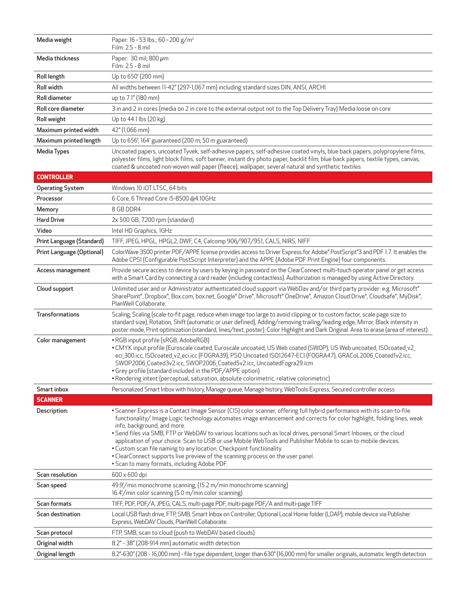| Media weight              | Paper: 16-53 lbs.; 60-200 g/m <sup>2</sup><br>Film: 2.5 - 8 mil                                                                                                                                                                                                                                                                                                                                                                                                                                                                                                                                                                                                                                                                       |
|---------------------------|---------------------------------------------------------------------------------------------------------------------------------------------------------------------------------------------------------------------------------------------------------------------------------------------------------------------------------------------------------------------------------------------------------------------------------------------------------------------------------------------------------------------------------------------------------------------------------------------------------------------------------------------------------------------------------------------------------------------------------------|
| Media thickness           | Paper: 30 mil; 800 $\mu$ m<br>Film: 2.5 - 8 mil                                                                                                                                                                                                                                                                                                                                                                                                                                                                                                                                                                                                                                                                                       |
| Roll length               | Up to 650' (200 mm)                                                                                                                                                                                                                                                                                                                                                                                                                                                                                                                                                                                                                                                                                                                   |
| Roll width                | All widths between 11-42" (297-1,067 mm) including standard sizes DIN, ANSI, ARCHI                                                                                                                                                                                                                                                                                                                                                                                                                                                                                                                                                                                                                                                    |
| Roll diameter             | up to 7.1" (180 mm)                                                                                                                                                                                                                                                                                                                                                                                                                                                                                                                                                                                                                                                                                                                   |
| Roll core diameter        | 3 in and 2 in cores (media on 2 in core to the external output not to the Top Delivery Tray) Media loose on core                                                                                                                                                                                                                                                                                                                                                                                                                                                                                                                                                                                                                      |
| Roll weight               | Up to 44.1 lbs (20 kg)                                                                                                                                                                                                                                                                                                                                                                                                                                                                                                                                                                                                                                                                                                                |
| Maximum printed width     | 42" (1,066 mm)                                                                                                                                                                                                                                                                                                                                                                                                                                                                                                                                                                                                                                                                                                                        |
| Maximum printed length    | Up to 656', 164' guaranteed (200 m; 50 m guaranteed)                                                                                                                                                                                                                                                                                                                                                                                                                                                                                                                                                                                                                                                                                  |
| <b>Media Types</b>        | Uncoated papers, uncoated Tyvek, self-adhesive papers, self-adhesive coated vinyls, blue back papers, polypropylene films,<br>polyester films, light block films, soft banner, instant dry photo paper, backlit film, blue back papers, textile types, canvas,<br>coated & uncoated non-woven wall paper (fleece), wallpaper, several natural and synthetic textiles                                                                                                                                                                                                                                                                                                                                                                  |
| <b>CONTROLLER</b>         |                                                                                                                                                                                                                                                                                                                                                                                                                                                                                                                                                                                                                                                                                                                                       |
| <b>Operating System</b>   | Windows 10 iOT LTSC, 64 bits                                                                                                                                                                                                                                                                                                                                                                                                                                                                                                                                                                                                                                                                                                          |
| Processor                 | 6 Core, 6 Thread Core i5-8500 @4.10GHz                                                                                                                                                                                                                                                                                                                                                                                                                                                                                                                                                                                                                                                                                                |
| Memory                    | 8 GB DDR4                                                                                                                                                                                                                                                                                                                                                                                                                                                                                                                                                                                                                                                                                                                             |
| <b>Hard Drive</b>         | 2x 500 GB, 7200 rpm (standard)                                                                                                                                                                                                                                                                                                                                                                                                                                                                                                                                                                                                                                                                                                        |
| Video                     | Intel HD Graphics, 1GHz                                                                                                                                                                                                                                                                                                                                                                                                                                                                                                                                                                                                                                                                                                               |
| Print Language (Standard) | TIFF, JPEG, HPGL, HPGL2, DWF, C4, Calcomp 906/907/951, CALS, NIRS, NIFF                                                                                                                                                                                                                                                                                                                                                                                                                                                                                                                                                                                                                                                               |
| Print Language (Optional) | ColorWave 3500 printer PDF/APPE license provides access to Driver Express for Adobe® PostScript®3 and PDF 1.7. It enables the<br>Adobe CPSI (Configurable PostScript Interpreter) and the APPE (Adobe PDF Print Engine) four components.                                                                                                                                                                                                                                                                                                                                                                                                                                                                                              |
| Access management         | Provide secure access to device by users by keying in password on the ClearConnect multi-touch operator panel or get access<br>with a Smart Card by connecting a card reader (including contactless). Authorization is managed by using Active Directory.                                                                                                                                                                                                                                                                                                                                                                                                                                                                             |
| Cloud support             | Unlimited user and or Administrator authenticated cloud support via WebDav and/or third party provider: e.g. Microsoft®<br>SharePoint®, Dropbox®, Box.com, box.net, Google® Drive®, Microsoft® OneDrive®, Amazon Cloud Drive®, Cloudsafe®, MyDisk®,<br>PlanWell Collaborate.                                                                                                                                                                                                                                                                                                                                                                                                                                                          |
| <b>Transformations</b>    | Scaling; Scaling (scale-to-fit page, reduce when image too large to avoid clipping or to custom factor, scale page size to<br>standard size), Rotation, Shift (automatic or user defined), Adding/removing trailing/leading edge, Mirror, Black intensity in<br>poster mode, Print optimization (standard, lines/text, poster). Color Highlight and Dark Original. Area to erase (area of interest).                                                                                                                                                                                                                                                                                                                                  |
| Color management          | • RGB input profile (sRGB, AdobeRGB)<br>. CMYK input profile (Euroscale coated, Euroscale uncoated, US Web coated (SWOP), US Web uncoated, ISOcoated_v2_<br>eci_300.icc, ISOcoated_v2_eci.icc (FOGRA39), PSO Uncoated ISO12647-ECI (FOGRA47), GRACoL2006_Coated1v2.icc,<br>SWOP2006_Coated3v2.icc, SWOP2006_Coated5v2.icc, UncoatedFogra29.icm<br>• Grey profile (standard included in the PDF/APPE option)<br>· Rendering intent (perceptual, saturation, absolute colorimetric, relative colorimetric)                                                                                                                                                                                                                              |
| Smart inbox               | Personalized Smart Inbox with history, Manage queue, Manage history, WebTools Express, Secured controller access                                                                                                                                                                                                                                                                                                                                                                                                                                                                                                                                                                                                                      |
| <b>SCANNER</b>            |                                                                                                                                                                                                                                                                                                                                                                                                                                                                                                                                                                                                                                                                                                                                       |
| Description:              | · Scanner Express is a Contact Image Sensor (CIS) color scanner, offering full hybrid performance with its scan-to-file<br>functionality/ Image Logic technology automates image enhancement and corrects for color highlight, folding lines, weak<br>info, background, and more.<br>. Send files via SMB, FTP or WebDAV to various locations such as local drives, personal Smart Inboxes, or the cloud<br>application of your choice. Scan to USB or use Mobile WebTools and Publisher Mobile to scan to mobile devices.<br>• Custom scan file naming to any location. Checkpoint functionality.<br>• ClearConnect supports live preview of the scanning process on the user panel.<br>• Scan to many formats, including Adobe PDF. |
| Scan resolution           | 600 x 600 dpi                                                                                                                                                                                                                                                                                                                                                                                                                                                                                                                                                                                                                                                                                                                         |
| Scan speed                | 49.9'/min monochrome scanning; (15.2 m/min monochrome scanning)<br>16.4'/min color scanning (5.0 m/min color scanning)                                                                                                                                                                                                                                                                                                                                                                                                                                                                                                                                                                                                                |
| Scan formats              | TIFF, PDF, PDF/A, JPEG, CALS, multi-page PDF, multi-page PDF/A and multi-page TIFF                                                                                                                                                                                                                                                                                                                                                                                                                                                                                                                                                                                                                                                    |
| Scan destination          | Local USB flash drive, FTP, SMB, Smart Inbox on Controller, Optional Local Home folder (LDAP), mobile device via Publisher<br>Express, WebDAV Clouds, PlanWell Collaborate.                                                                                                                                                                                                                                                                                                                                                                                                                                                                                                                                                           |
| Scan protocol             | FTP, SMB, scan to cloud (push to WebDAV based clouds)                                                                                                                                                                                                                                                                                                                                                                                                                                                                                                                                                                                                                                                                                 |
| Original width            | 8.2" - 38" (208-914 mm) automatic width detection                                                                                                                                                                                                                                                                                                                                                                                                                                                                                                                                                                                                                                                                                     |
| Original length           | 8.2"-630" (208 - 16,000 mm) - file type dependent, longer than 630" (16,000 mm) for smaller originals, automatic length detection                                                                                                                                                                                                                                                                                                                                                                                                                                                                                                                                                                                                     |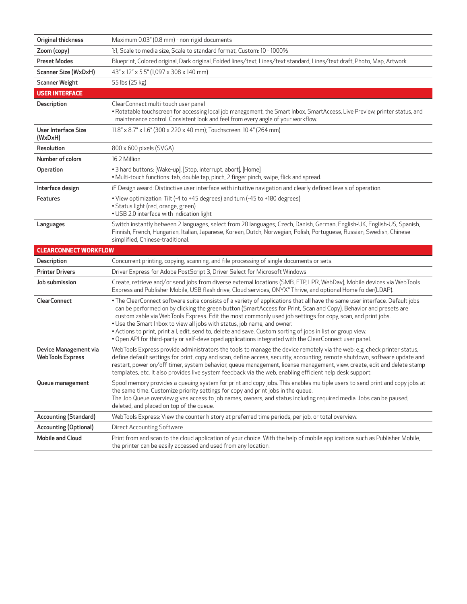| Original thickness                               | Maximum 0.03" (0.8 mm) - non-rigid documents                                                                                                                                                                                                                                                                                                                                                                                                                                                                                                                                                                                                                          |
|--------------------------------------------------|-----------------------------------------------------------------------------------------------------------------------------------------------------------------------------------------------------------------------------------------------------------------------------------------------------------------------------------------------------------------------------------------------------------------------------------------------------------------------------------------------------------------------------------------------------------------------------------------------------------------------------------------------------------------------|
| Zoom (copy)                                      | 1:1, Scale to media size, Scale to standard format, Custom: 10 - 1000%                                                                                                                                                                                                                                                                                                                                                                                                                                                                                                                                                                                                |
| <b>Preset Modes</b>                              | Blueprint, Colored original, Dark original, Folded lines/text, Lines/text standard, Lines/text draft, Photo, Map, Artwork                                                                                                                                                                                                                                                                                                                                                                                                                                                                                                                                             |
| Scanner Size (WxDxH)                             | 43" x 12" x 5.5" (1,097 x 308 x 140 mm)                                                                                                                                                                                                                                                                                                                                                                                                                                                                                                                                                                                                                               |
| <b>Scanner Weight</b>                            | 55 lbs (25 kg)                                                                                                                                                                                                                                                                                                                                                                                                                                                                                                                                                                                                                                                        |
| <b>USER INTERFACE</b>                            |                                                                                                                                                                                                                                                                                                                                                                                                                                                                                                                                                                                                                                                                       |
| Description                                      | ClearConnect multi-touch user panel<br>· Rotatable touchscreen for accessing local job management, the Smart Inbox, SmartAccess, Live Preview, printer status, and<br>maintenance control. Consistent look and feel from every angle of your workflow.                                                                                                                                                                                                                                                                                                                                                                                                                |
| User Interface Size<br>(WxDxH)                   | 11.8" x 8.7" x 1.6" (300 x 220 x 40 mm); Touchscreen: 10.4" (264 mm)                                                                                                                                                                                                                                                                                                                                                                                                                                                                                                                                                                                                  |
| Resolution                                       | 800 x 600 pixels (SVGA)                                                                                                                                                                                                                                                                                                                                                                                                                                                                                                                                                                                                                                               |
| Number of colors                                 | 16.2 Million                                                                                                                                                                                                                                                                                                                                                                                                                                                                                                                                                                                                                                                          |
| Operation                                        | • 3 hard buttons: [Wake-up], [Stop, interrupt, abort], [Home]<br>. Multi-touch functions: tab, double tap, pinch, 2 finger pinch, swipe, flick and spread.                                                                                                                                                                                                                                                                                                                                                                                                                                                                                                            |
| Interface design                                 | iF Design award: Distinctive user interface with intuitive navigation and clearly defined levels of operation.                                                                                                                                                                                                                                                                                                                                                                                                                                                                                                                                                        |
| Features                                         | • View optimization: Tilt (-4 to +45 degrees) and turn (-45 to +180 degrees)<br>· Status light (red, orange, green)<br>• USB 2.0 interface with indication light                                                                                                                                                                                                                                                                                                                                                                                                                                                                                                      |
| Languages                                        | Switch instantly between 2 languages, select from 20 languages; Czech, Danish, German, English-UK, English-US, Spanish,<br>Finnish, French, Hungarian, Italian, Japanese, Korean, Dutch, Norwegian, Polish, Portuguese, Russian, Swedish, Chinese                                                                                                                                                                                                                                                                                                                                                                                                                     |
|                                                  | simplified, Chinese-traditional.                                                                                                                                                                                                                                                                                                                                                                                                                                                                                                                                                                                                                                      |
| <b>CLEARCONNECT WORKFLOW</b>                     |                                                                                                                                                                                                                                                                                                                                                                                                                                                                                                                                                                                                                                                                       |
| Description                                      | Concurrent printing, copying, scanning, and file processing of single documents or sets.                                                                                                                                                                                                                                                                                                                                                                                                                                                                                                                                                                              |
| <b>Printer Drivers</b>                           | Driver Express for Adobe PostScript 3, Driver Select for Microsoft Windows                                                                                                                                                                                                                                                                                                                                                                                                                                                                                                                                                                                            |
| Job submission                                   | Create, retrieve and/or send jobs from diverse external locations (SMB, FTP, LPR, WebDav), Mobile devices via WebTools<br>Express and Publisher Mobile, USB flash drive, Cloud services, ONYX® Thrive, and optional Home folder(LDAP).                                                                                                                                                                                                                                                                                                                                                                                                                                |
| <b>ClearConnect</b>                              | • The ClearConnect software suite consists of a variety of applications that all have the same user interface. Default jobs<br>can be performed on by clicking the green button (SmartAccess for Print, Scan and Copy). Behavior and presets are<br>customizable via WebTools Express. Edit the most commonly used job settings for copy, scan, and print jobs.<br>. Use the Smart Inbox to view all jobs with status, job name, and owner.<br>. Actions to print, print all, edit, send to, delete and save. Custom sorting of jobs in list or group view.<br>. Open API for third-party or self-developed applications integrated with the ClearConnect user panel. |
| Device Management via<br><b>WebTools Express</b> | WebTools Express provide administrators the tools to manage the device remotely via the web: e.g. check printer status,<br>define default settings for print, copy and scan, define access, security, accounting, remote shutdown, software update and<br>restart, power on/off timer, system behavior, queue management, license management, view, create, edit and delete stamp<br>templates, etc. It also provides live system feedback via the web, enabling efficient help desk support.                                                                                                                                                                         |
| Queue management                                 | Spool memory provides a queuing system for print and copy jobs. This enables multiple users to send print and copy jobs at<br>the same time. Customize priority settings for copy and print jobs in the queue.<br>The Job Queue overview gives access to job names, owners, and status including required media. Jobs can be paused,<br>deleted, and placed on top of the queue.                                                                                                                                                                                                                                                                                      |
| Accounting (Standard)                            | WebTools Express: View the counter history at preferred time periods, per job, or total overview.                                                                                                                                                                                                                                                                                                                                                                                                                                                                                                                                                                     |
| <b>Accounting (Optional)</b>                     | <b>Direct Accounting Software</b>                                                                                                                                                                                                                                                                                                                                                                                                                                                                                                                                                                                                                                     |